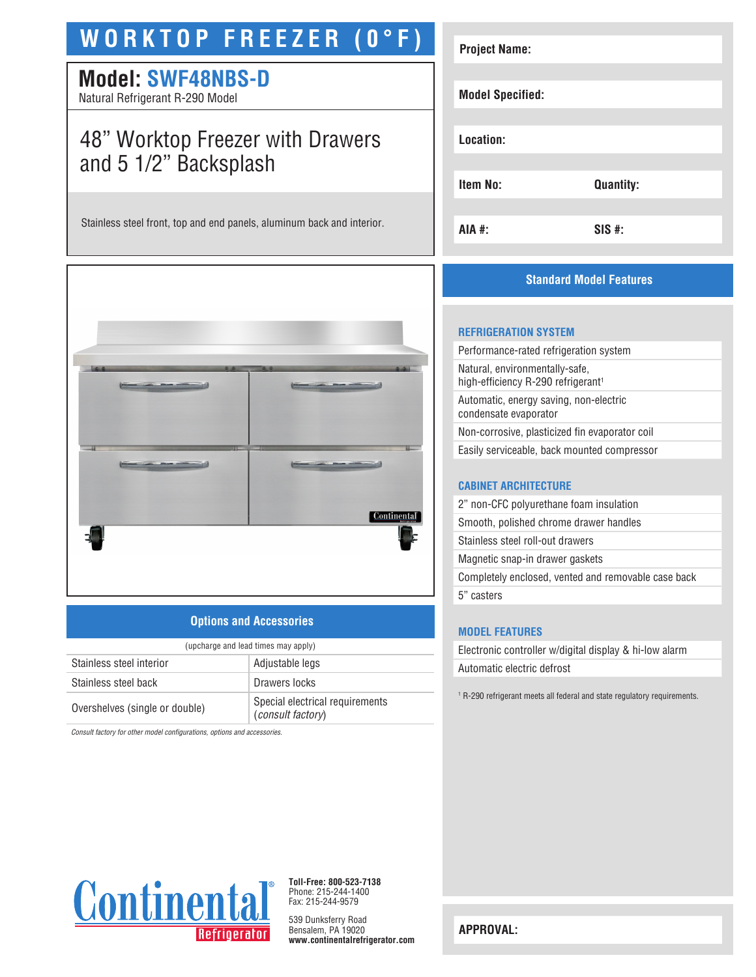# **WORKTOP FREEZER (0°F)**

# **Model: SWF48NBS-D**

Natural Refrigerant R-290 Model

# 48" Worktop Freezer with Drawers and 5 1/2" Backsplash

Stainless steel front, top and end panels, aluminum back and interior.



### **Options and Accessories**

| (upcharge and lead times may apply) |                                                      |  |
|-------------------------------------|------------------------------------------------------|--|
| Stainless steel interior            | Adjustable legs                                      |  |
| Stainless steel back                | Drawers locks                                        |  |
| Overshelves (single or double)      | Special electrical requirements<br>(consult factory) |  |

*Consult factory for other model configurations, options and accessories.*

| <b>Project Name:</b>    |                  |
|-------------------------|------------------|
| <b>Model Specified:</b> |                  |
| Location:               |                  |
| <b>Item No:</b>         | <b>Quantity:</b> |
| AIA #:                  | $SIS$ #:         |

# **Standard Model Features**

#### **REFRIGERATION SYSTEM**

| Performance-rated refrigeration system                                           |
|----------------------------------------------------------------------------------|
| Natural, environmentally-safe,<br>high-efficiency R-290 refrigerant <sup>1</sup> |
| Automatic, energy saving, non-electric<br>condensate evaporator                  |
| Non-corrosive, plasticized fin evaporator coil                                   |
| Easily serviceable, back mounted compressor                                      |
|                                                                                  |

#### **CABINET ARCHITECTURE**

| 2" non-CFC polyurethane foam insulation             |
|-----------------------------------------------------|
| Smooth, polished chrome drawer handles              |
| Stainless steel roll-out drawers                    |
| Magnetic snap-in drawer gaskets                     |
| Completely enclosed, vented and removable case back |
| 5" casters                                          |
|                                                     |

### **MODEL FEATURES**

Electronic controller w/digital display & hi-low alarm Automatic electric defrost

1 R-290 refrigerant meets all federal and state regulatory requirements.



**Toll-Free: 800-523-7138** Phone: 215-244-1400 Fax: 215-244-9579

539 Dunksferry Road Bensalem, PA 19020 **www.continentalrefrigerator.com** 

**APPROVAL:**